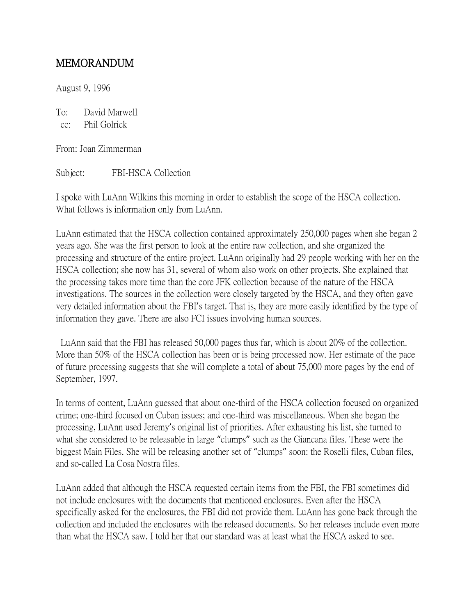## MEMORANDUM

August 9, 1996

To: David Marwell cc: Phil Golrick

From: Joan Zimmerman

Subject: FBI-HSCA Collection

I spoke with LuAnn Wilkins this morning in order to establish the scope of the HSCA collection. What follows is information only from LuAnn.

LuAnn estimated that the HSCA collection contained approximately 250,000 pages when she began 2 years ago. She was the first person to look at the entire raw collection, and she organized the processing and structure of the entire project. LuAnn originally had 29 people working with her on the HSCA collection; she now has 31, several of whom also work on other projects. She explained that the processing takes more time than the core JFK collection because of the nature of the HSCA investigations. The sources in the collection were closely targeted by the HSCA, and they often gave very detailed information about the FBI's target. That is, they are more easily identified by the type of information they gave. There are also FCI issues involving human sources.

LuAnn said that the FBI has released 50,000 pages thus far, which is about 20% of the collection. More than 50% of the HSCA collection has been or is being processed now. Her estimate of the pace of future processing suggests that she will complete a total of about 75,000 more pages by the end of September, 1997.

In terms of content, LuAnn guessed that about one-third of the HSCA collection focused on organized crime; one-third focused on Cuban issues; and one-third was miscellaneous. When she began the processing, LuAnn used Jeremy's original list of priorities. After exhausting his list, she turned to what she considered to be releasable in large "clumps" such as the Giancana files. These were the biggest Main Files. She will be releasing another set of "clumps" soon: the Roselli files, Cuban files, and so-called La Cosa Nostra files.

LuAnn added that although the HSCA requested certain items from the FBI, the FBI sometimes did not include enclosures with the documents that mentioned enclosures. Even after the HSCA specifically asked for the enclosures, the FBI did not provide them. LuAnn has gone back through the collection and included the enclosures with the released documents. So her releases include even more than what the HSCA saw. I told her that our standard was at least what the HSCA asked to see.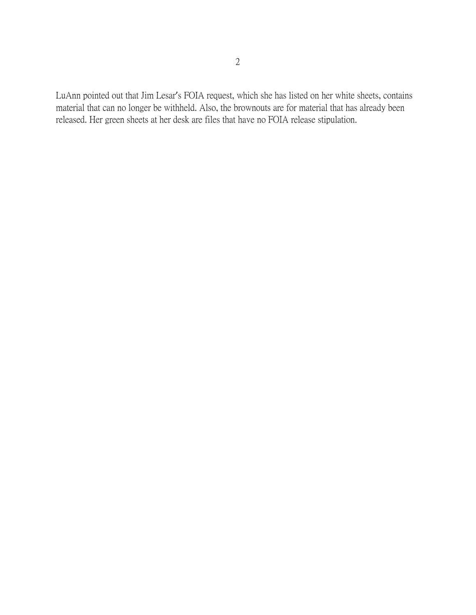LuAnn pointed out that Jim Lesar's FOIA request, which she has listed on her white sheets, contains material that can no longer be withheld. Also, the brownouts are for material that has already been released. Her green sheets at her desk are files that have no FOIA release stipulation.